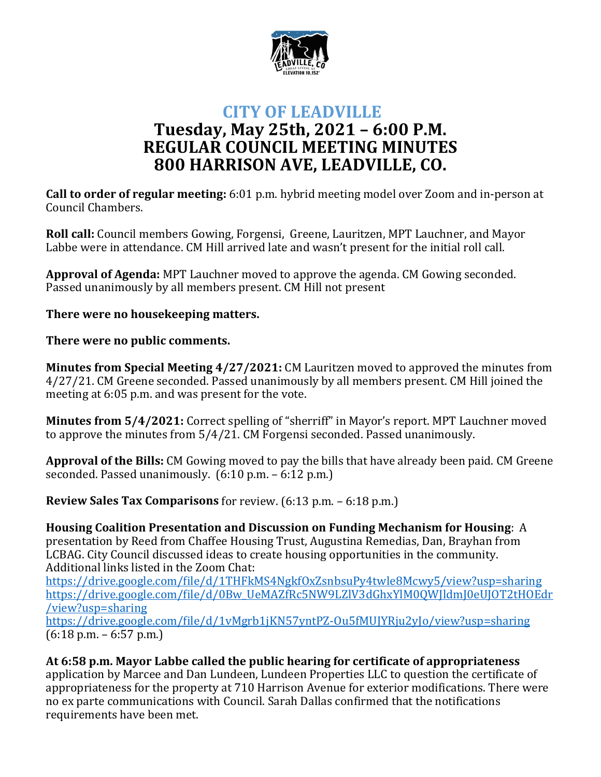

## **CITY OF LEADVILLE Tuesday, May 25th, 2021 – 6:00 P.M. REGULAR COUNCIL MEETING MINUTES 800 HARRISON AVE, LEADVILLE, CO.**

**Call to order of regular meeting:** 6:01 p.m. hybrid meeting model over Zoom and in-person at Council Chambers.

**Roll call:** Council members Gowing, Forgensi, Greene, Lauritzen, MPT Lauchner, and Mayor Labbe were in attendance. CM Hill arrived late and wasn't present for the initial roll call.

**Approval of Agenda:** MPT Lauchner moved to approve the agenda. CM Gowing seconded. Passed unanimously by all members present. CM Hill not present

**There were no housekeeping matters.**

**There were no public comments.**

**Minutes from Special Meeting 4/27/2021:** CM Lauritzen moved to approved the minutes from 4/27/21. CM Greene seconded. Passed unanimously by all members present. CM Hill joined the meeting at 6:05 p.m. and was present for the vote.

**Minutes from 5/4/2021:** Correct spelling of "sherriff" in Mayor's report. MPT Lauchner moved to approve the minutes from 5/4/21. CM Forgensi seconded. Passed unanimously.

**Approval of the Bills:** CM Gowing moved to pay the bills that have already been paid. CM Greene seconded. Passed unanimously. (6:10 p.m. – 6:12 p.m.)

**Review Sales Tax Comparisons** for review. (6:13 p.m. – 6:18 p.m.)

**Housing Coalition Presentation and Discussion on Funding Mechanism for Housing**: A presentation by Reed from Chaffee Housing Trust, Augustina Remedias, Dan, Brayhan from LCBAG. City Council discussed ideas to create housing opportunities in the community. Additional links listed in the Zoom Chat:

https://drive.google.com/file/d/1THFkMS4NgkfOxZsnbsuPy4twle8Mcwy5/view?usp=sharing https://drive.google.com/file/d/0Bw\_UeMAZfRc5NW9LZlV3dGhxYlM0QWJldmJ0eUJOT2tHOEdr /view?usp=sharing

https://drive.google.com/file/d/1vMgrb1jKN57yntPZ-Ou5fMUJYRju2yJo/view?usp=sharing  $(6:18 \text{ p.m.} - 6:57 \text{ p.m.})$ 

**At 6:58 p.m. Mayor Labbe called the public hearing for certificate of appropriateness** application by Marcee and Dan Lundeen, Lundeen Properties LLC to question the certificate of appropriateness for the property at 710 Harrison Avenue for exterior modifications. There were no ex parte communications with Council. Sarah Dallas confirmed that the notifications requirements have been met.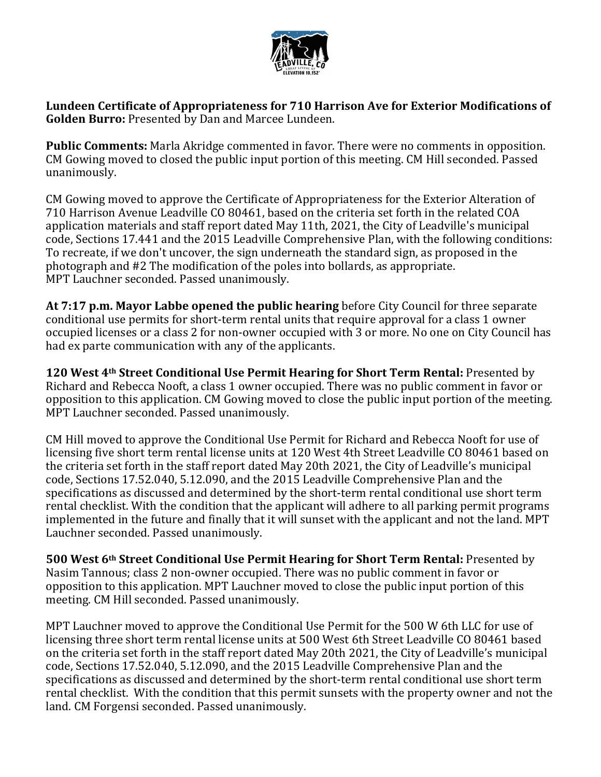

**Lundeen Certificate of Appropriateness for 710 Harrison Ave for Exterior Modifications of Golden Burro:** Presented by Dan and Marcee Lundeen.

**Public Comments:** Marla Akridge commented in favor. There were no comments in opposition. CM Gowing moved to closed the public input portion of this meeting. CM Hill seconded. Passed unanimously.

CM Gowing moved to approve the Certificate of Appropriateness for the Exterior Alteration of 710 Harrison Avenue Leadville CO 80461, based on the criteria set forth in the related COA application materials and staff report dated May 11th, 2021, the City of Leadville's municipal code, Sections 17.441 and the 2015 Leadville Comprehensive Plan, with the following conditions: To recreate, if we don't uncover, the sign underneath the standard sign, as proposed in the photograph and #2 The modification of the poles into bollards, as appropriate. MPT Lauchner seconded. Passed unanimously.

**At 7:17 p.m. Mayor Labbe opened the public hearing** before City Council for three separate conditional use permits for short-term rental units that require approval for a class 1 owner occupied licenses or a class 2 for non-owner occupied with 3 or more. No one on City Council has had ex parte communication with any of the applicants.

**120 West 4th Street Conditional Use Permit Hearing for Short Term Rental:** Presented by Richard and Rebecca Nooft, a class 1 owner occupied. There was no public comment in favor or opposition to this application. CM Gowing moved to close the public input portion of the meeting. MPT Lauchner seconded. Passed unanimously.

CM Hill moved to approve the Conditional Use Permit for Richard and Rebecca Nooft for use of licensing five short term rental license units at 120 West 4th Street Leadville CO 80461 based on the criteria set forth in the staff report dated May 20th 2021, the City of Leadville's municipal code, Sections 17.52.040, 5.12.090, and the 2015 Leadville Comprehensive Plan and the specifications as discussed and determined by the short-term rental conditional use short term rental checklist. With the condition that the applicant will adhere to all parking permit programs implemented in the future and finally that it will sunset with the applicant and not the land. MPT Lauchner seconded. Passed unanimously.

**500 West 6th Street Conditional Use Permit Hearing for Short Term Rental:** Presented by Nasim Tannous; class 2 non-owner occupied. There was no public comment in favor or opposition to this application. MPT Lauchner moved to close the public input portion of this meeting. CM Hill seconded. Passed unanimously.

MPT Lauchner moved to approve the Conditional Use Permit for the 500 W 6th LLC for use of licensing three short term rental license units at 500 West 6th Street Leadville CO 80461 based on the criteria set forth in the staff report dated May 20th 2021, the City of Leadville's municipal code, Sections 17.52.040, 5.12.090, and the 2015 Leadville Comprehensive Plan and the specifications as discussed and determined by the short-term rental conditional use short term rental checklist. With the condition that this permit sunsets with the property owner and not the land. CM Forgensi seconded. Passed unanimously.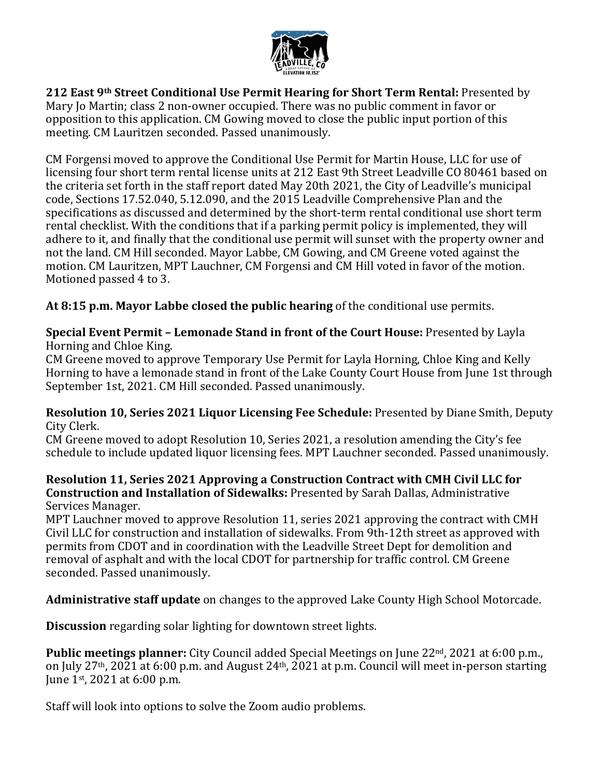

**212 East 9th Street Conditional Use Permit Hearing for Short Term Rental:** Presented by Mary Jo Martin; class 2 non-owner occupied. There was no public comment in favor or opposition to this application. CM Gowing moved to close the public input portion of this meeting. CM Lauritzen seconded. Passed unanimously.

CM Forgensi moved to approve the Conditional Use Permit for Martin House, LLC for use of licensing four short term rental license units at 212 East 9th Street Leadville CO 80461 based on the criteria set forth in the staff report dated May 20th 2021, the City of Leadville's municipal code, Sections 17.52.040, 5.12.090, and the 2015 Leadville Comprehensive Plan and the specifications as discussed and determined by the short-term rental conditional use short term rental checklist. With the conditions that if a parking permit policy is implemented, they will adhere to it, and finally that the conditional use permit will sunset with the property owner and not the land. CM Hill seconded. Mayor Labbe, CM Gowing, and CM Greene voted against the motion. CM Lauritzen, MPT Lauchner, CM Forgensi and CM Hill voted in favor of the motion. Motioned passed 4 to 3.

**At 8:15 p.m. Mayor Labbe closed the public hearing** of the conditional use permits.

**Special Event Permit – Lemonade Stand in front of the Court House:** Presented by Layla Horning and Chloe King.

CM Greene moved to approve Temporary Use Permit for Layla Horning, Chloe King and Kelly Horning to have a lemonade stand in front of the Lake County Court House from June 1st through September 1st, 2021. CM Hill seconded. Passed unanimously.

**Resolution 10, Series 2021 Liquor Licensing Fee Schedule:** Presented by Diane Smith, Deputy City Clerk.

CM Greene moved to adopt Resolution 10, Series 2021, a resolution amending the City's fee schedule to include updated liquor licensing fees. MPT Lauchner seconded. Passed unanimously.

## **Resolution 11, Series 2021 Approving a Construction Contract with CMH Civil LLC for Construction and Installation of Sidewalks:** Presented by Sarah Dallas, Administrative Services Manager.

MPT Lauchner moved to approve Resolution 11, series 2021 approving the contract with CMH Civil LLC for construction and installation of sidewalks. From 9th-12th street as approved with permits from CDOT and in coordination with the Leadville Street Dept for demolition and removal of asphalt and with the local CDOT for partnership for traffic control. CM Greene seconded. Passed unanimously.

**Administrative staff update** on changes to the approved Lake County High School Motorcade.

**Discussion** regarding solar lighting for downtown street lights.

**Public meetings planner:** City Council added Special Meetings on June 22nd, 2021 at 6:00 p.m., on July 27th, 2021 at 6:00 p.m. and August 24th, 2021 at p.m. Council will meet in-person starting June 1st, 2021 at 6:00 p.m.

Staff will look into options to solve the Zoom audio problems.